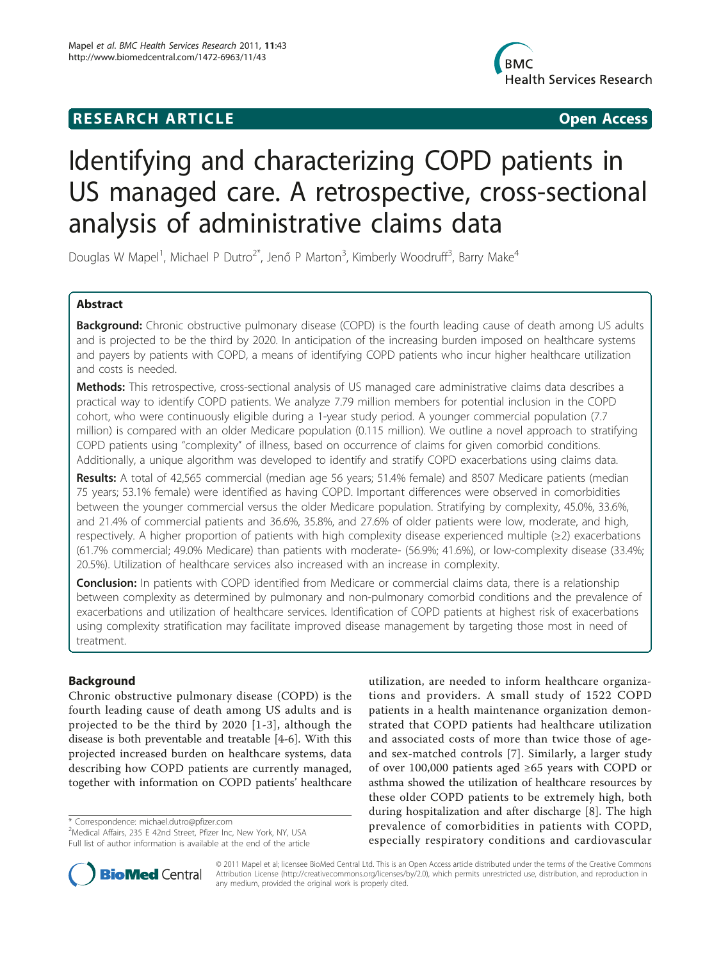## **RESEARCH ARTICLE Example 2018 CONSIDERING ACCESS**



# Identifying and characterizing COPD patients in US managed care. A retrospective, cross-sectional analysis of administrative claims data

Douglas W Mapel<sup>1</sup>, Michael P Dutro<sup>2\*</sup>, Jenő P Marton<sup>3</sup>, Kimberly Woodruff<sup>3</sup>, Barry Make<sup>4</sup>

## Abstract

Background: Chronic obstructive pulmonary disease (COPD) is the fourth leading cause of death among US adults and is projected to be the third by 2020. In anticipation of the increasing burden imposed on healthcare systems and payers by patients with COPD, a means of identifying COPD patients who incur higher healthcare utilization and costs is needed.

Methods: This retrospective, cross-sectional analysis of US managed care administrative claims data describes a practical way to identify COPD patients. We analyze 7.79 million members for potential inclusion in the COPD cohort, who were continuously eligible during a 1-year study period. A younger commercial population (7.7 million) is compared with an older Medicare population (0.115 million). We outline a novel approach to stratifying COPD patients using "complexity" of illness, based on occurrence of claims for given comorbid conditions. Additionally, a unique algorithm was developed to identify and stratify COPD exacerbations using claims data.

Results: A total of 42,565 commercial (median age 56 years; 51.4% female) and 8507 Medicare patients (median 75 years; 53.1% female) were identified as having COPD. Important differences were observed in comorbidities between the younger commercial versus the older Medicare population. Stratifying by complexity, 45.0%, 33.6%, and 21.4% of commercial patients and 36.6%, 35.8%, and 27.6% of older patients were low, moderate, and high, respectively. A higher proportion of patients with high complexity disease experienced multiple (≥2) exacerbations (61.7% commercial; 49.0% Medicare) than patients with moderate- (56.9%; 41.6%), or low-complexity disease (33.4%; 20.5%). Utilization of healthcare services also increased with an increase in complexity.

**Conclusion:** In patients with COPD identified from Medicare or commercial claims data, there is a relationship between complexity as determined by pulmonary and non-pulmonary comorbid conditions and the prevalence of exacerbations and utilization of healthcare services. Identification of COPD patients at highest risk of exacerbations using complexity stratification may facilitate improved disease management by targeting those most in need of treatment.

## Background

Chronic obstructive pulmonary disease (COPD) is the fourth leading cause of death among US adults and is projected to be the third by 2020 [\[1-](#page-8-0)[3\]](#page-9-0), although the disease is both preventable and treatable [[4-6](#page-9-0)]. With this projected increased burden on healthcare systems, data describing how COPD patients are currently managed, together with information on COPD patients' healthcare

\* Correspondence: [michael.dutro@pfizer.com](mailto:michael.dutro@pfizer.com)

2 Medical Affairs, 235 E 42nd Street, Pfizer Inc, New York, NY, USA Full list of author information is available at the end of the article





© 2011 Mapel et al; licensee BioMed Central Ltd. This is an Open Access article distributed under the terms of the Creative Commons Attribution License [\(http://creativecommons.org/licenses/by/2.0](http://creativecommons.org/licenses/by/2.0)), which permits unrestricted use, distribution, and reproduction in any medium, provided the original work is properly cited.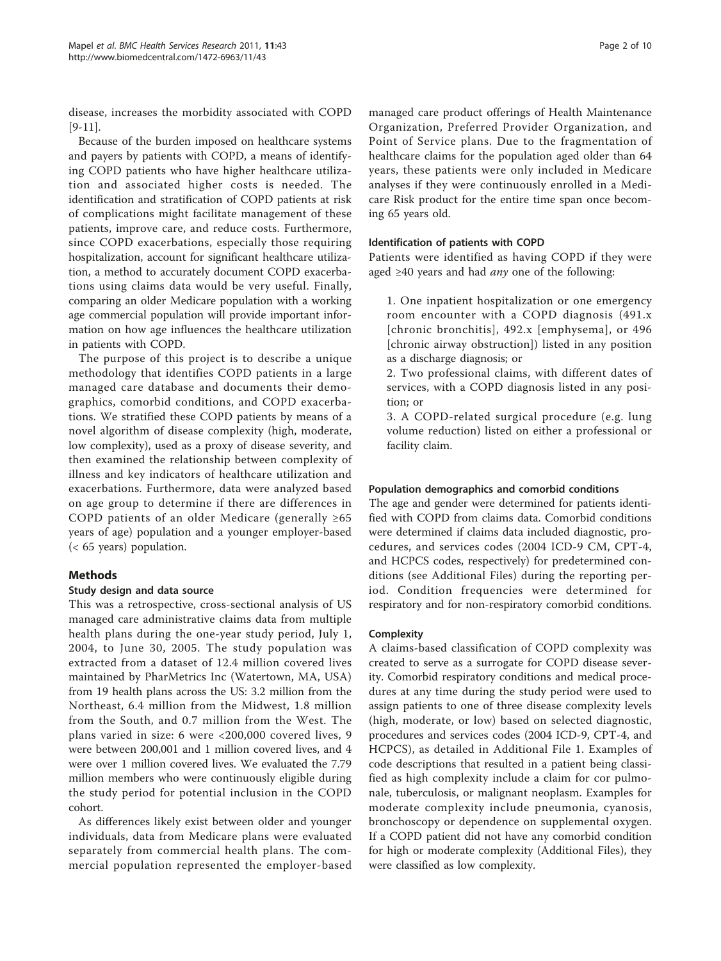disease, increases the morbidity associated with COPD [[9-11](#page-9-0)].

Because of the burden imposed on healthcare systems and payers by patients with COPD, a means of identifying COPD patients who have higher healthcare utilization and associated higher costs is needed. The identification and stratification of COPD patients at risk of complications might facilitate management of these patients, improve care, and reduce costs. Furthermore, since COPD exacerbations, especially those requiring hospitalization, account for significant healthcare utilization, a method to accurately document COPD exacerbations using claims data would be very useful. Finally, comparing an older Medicare population with a working age commercial population will provide important information on how age influences the healthcare utilization in patients with COPD.

The purpose of this project is to describe a unique methodology that identifies COPD patients in a large managed care database and documents their demographics, comorbid conditions, and COPD exacerbations. We stratified these COPD patients by means of a novel algorithm of disease complexity (high, moderate, low complexity), used as a proxy of disease severity, and then examined the relationship between complexity of illness and key indicators of healthcare utilization and exacerbations. Furthermore, data were analyzed based on age group to determine if there are differences in COPD patients of an older Medicare (generally ≥65 years of age) population and a younger employer-based (< 65 years) population.

## Methods

## Study design and data source

This was a retrospective, cross-sectional analysis of US managed care administrative claims data from multiple health plans during the one-year study period, July 1, 2004, to June 30, 2005. The study population was extracted from a dataset of 12.4 million covered lives maintained by PharMetrics Inc (Watertown, MA, USA) from 19 health plans across the US: 3.2 million from the Northeast, 6.4 million from the Midwest, 1.8 million from the South, and 0.7 million from the West. The plans varied in size: 6 were <200,000 covered lives, 9 were between 200,001 and 1 million covered lives, and 4 were over 1 million covered lives. We evaluated the 7.79 million members who were continuously eligible during the study period for potential inclusion in the COPD cohort.

As differences likely exist between older and younger individuals, data from Medicare plans were evaluated separately from commercial health plans. The commercial population represented the employer-based managed care product offerings of Health Maintenance Organization, Preferred Provider Organization, and Point of Service plans. Due to the fragmentation of healthcare claims for the population aged older than 64 years, these patients were only included in Medicare analyses if they were continuously enrolled in a Medicare Risk product for the entire time span once becoming 65 years old.

## Identification of patients with COPD

Patients were identified as having COPD if they were aged  $\geq$ 40 years and had *any* one of the following:

1. One inpatient hospitalization or one emergency room encounter with a COPD diagnosis (491.x [chronic bronchitis], 492.x [emphysema], or 496 [chronic airway obstruction]) listed in any position as a discharge diagnosis; or

2. Two professional claims, with different dates of services, with a COPD diagnosis listed in any position; or

3. A COPD-related surgical procedure (e.g. lung volume reduction) listed on either a professional or facility claim.

## Population demographics and comorbid conditions

The age and gender were determined for patients identified with COPD from claims data. Comorbid conditions were determined if claims data included diagnostic, procedures, and services codes (2004 ICD-9 CM, CPT-4, and HCPCS codes, respectively) for predetermined conditions (see Additional Files) during the reporting period. Condition frequencies were determined for respiratory and for non-respiratory comorbid conditions.

#### **Complexity**

A claims-based classification of COPD complexity was created to serve as a surrogate for COPD disease severity. Comorbid respiratory conditions and medical procedures at any time during the study period were used to assign patients to one of three disease complexity levels (high, moderate, or low) based on selected diagnostic, procedures and services codes (2004 ICD-9, CPT-4, and HCPCS), as detailed in Additional File [1](#page-8-0). Examples of code descriptions that resulted in a patient being classified as high complexity include a claim for cor pulmonale, tuberculosis, or malignant neoplasm. Examples for moderate complexity include pneumonia, cyanosis, bronchoscopy or dependence on supplemental oxygen. If a COPD patient did not have any comorbid condition for high or moderate complexity (Additional Files), they were classified as low complexity.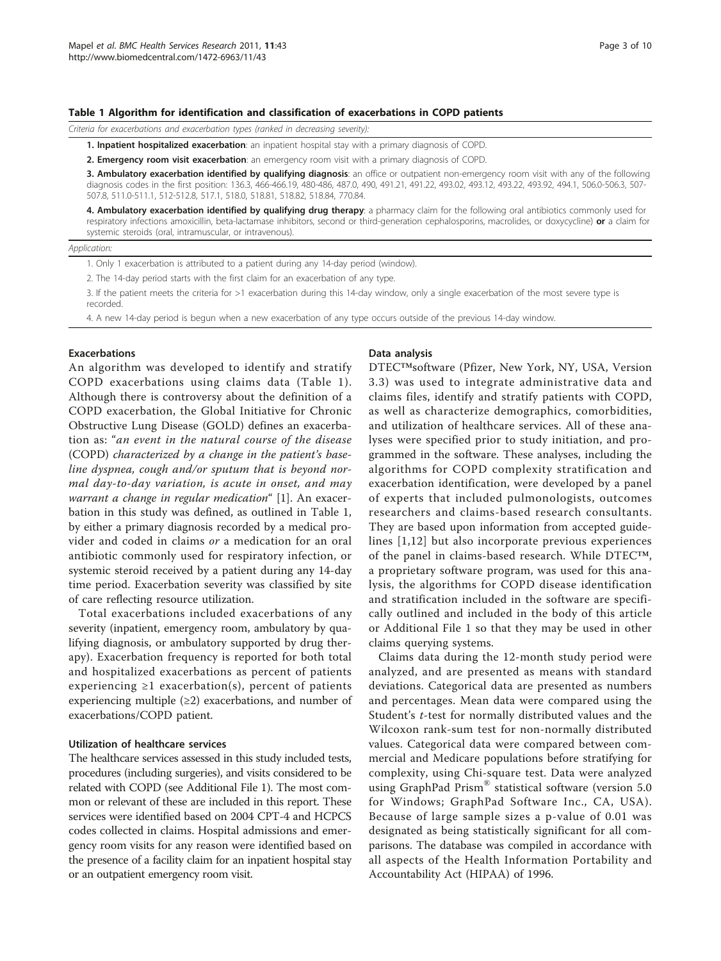## Table 1 Algorithm for identification and classification of exacerbations in COPD patients

Criteria for exacerbations and exacerbation types (ranked in decreasing severity):

1. Inpatient hospitalized exacerbation: an inpatient hospital stay with a primary diagnosis of COPD.

2. Emergency room visit exacerbation: an emergency room visit with a primary diagnosis of COPD.

3. Ambulatory exacerbation identified by qualifying diagnosis: an office or outpatient non-emergency room visit with any of the following diagnosis codes in the first position: 136.3, 466-466.19, 480-486, 487.0, 490, 491.21, 491.22, 493.02, 493.12, 493.22, 493.92, 494.1, 506.0-506.3, 507- 507.8, 511.0-511.1, 512-512.8, 517.1, 518.0, 518.81, 518.82, 518.84, 770.84.

4. Ambulatory exacerbation identified by qualifying drug therapy: a pharmacy claim for the following oral antibiotics commonly used for respiratory infections amoxicillin, beta-lactamase inhibitors, second or third-generation cephalosporins, macrolides, or doxycycline) or a claim for systemic steroids (oral, intramuscular, or intravenous).

#### Application:

1. Only 1 exacerbation is attributed to a patient during any 14-day period (window).

2. The 14-day period starts with the first claim for an exacerbation of any type.

3. If the patient meets the criteria for >1 exacerbation during this 14-day window, only a single exacerbation of the most severe type is recorded.

4. A new 14-day period is begun when a new exacerbation of any type occurs outside of the previous 14-day window.

#### Exacerbations

An algorithm was developed to identify and stratify COPD exacerbations using claims data (Table 1). Although there is controversy about the definition of a COPD exacerbation, the Global Initiative for Chronic Obstructive Lung Disease (GOLD) defines an exacerbation as: "an event in the natural course of the disease (COPD) characterized by a change in the patient's baseline dyspnea, cough and/or sputum that is beyond normal day-to-day variation, is acute in onset, and may warrant a change in regular medication" [[1\]](#page-8-0). An exacerbation in this study was defined, as outlined in Table 1, by either a primary diagnosis recorded by a medical provider and coded in claims or a medication for an oral antibiotic commonly used for respiratory infection, or systemic steroid received by a patient during any 14-day time period. Exacerbation severity was classified by site of care reflecting resource utilization.

Total exacerbations included exacerbations of any severity (inpatient, emergency room, ambulatory by qualifying diagnosis, or ambulatory supported by drug therapy). Exacerbation frequency is reported for both total and hospitalized exacerbations as percent of patients experiencing  $\geq 1$  exacerbation(s), percent of patients experiencing multiple  $(\geq 2)$  exacerbations, and number of exacerbations/COPD patient.

#### Utilization of healthcare services

The healthcare services assessed in this study included tests, procedures (including surgeries), and visits considered to be related with COPD (see Additional File [1\)](#page-8-0). The most common or relevant of these are included in this report. These services were identified based on 2004 CPT-4 and HCPCS codes collected in claims. Hospital admissions and emergency room visits for any reason were identified based on the presence of a facility claim for an inpatient hospital stay or an outpatient emergency room visit.

#### Data analysis

DTEC™software (Pfizer, New York, NY, USA, Version 3.3) was used to integrate administrative data and claims files, identify and stratify patients with COPD, as well as characterize demographics, comorbidities, and utilization of healthcare services. All of these analyses were specified prior to study initiation, and programmed in the software. These analyses, including the algorithms for COPD complexity stratification and exacerbation identification, were developed by a panel of experts that included pulmonologists, outcomes researchers and claims-based research consultants. They are based upon information from accepted guidelines [[1,](#page-8-0)[12\]](#page-9-0) but also incorporate previous experiences of the panel in claims-based research. While DTEC™, a proprietary software program, was used for this analysis, the algorithms for COPD disease identification and stratification included in the software are specifically outlined and included in the body of this article or Additional File [1](#page-8-0) so that they may be used in other claims querying systems.

Claims data during the 12-month study period were analyzed, and are presented as means with standard deviations. Categorical data are presented as numbers and percentages. Mean data were compared using the Student's t-test for normally distributed values and the Wilcoxon rank-sum test for non-normally distributed values. Categorical data were compared between commercial and Medicare populations before stratifying for complexity, using Chi-square test. Data were analyzed using GraphPad Prism® statistical software (version 5.0 for Windows; GraphPad Software Inc., CA, USA). Because of large sample sizes a p-value of 0.01 was designated as being statistically significant for all comparisons. The database was compiled in accordance with all aspects of the Health Information Portability and Accountability Act (HIPAA) of 1996.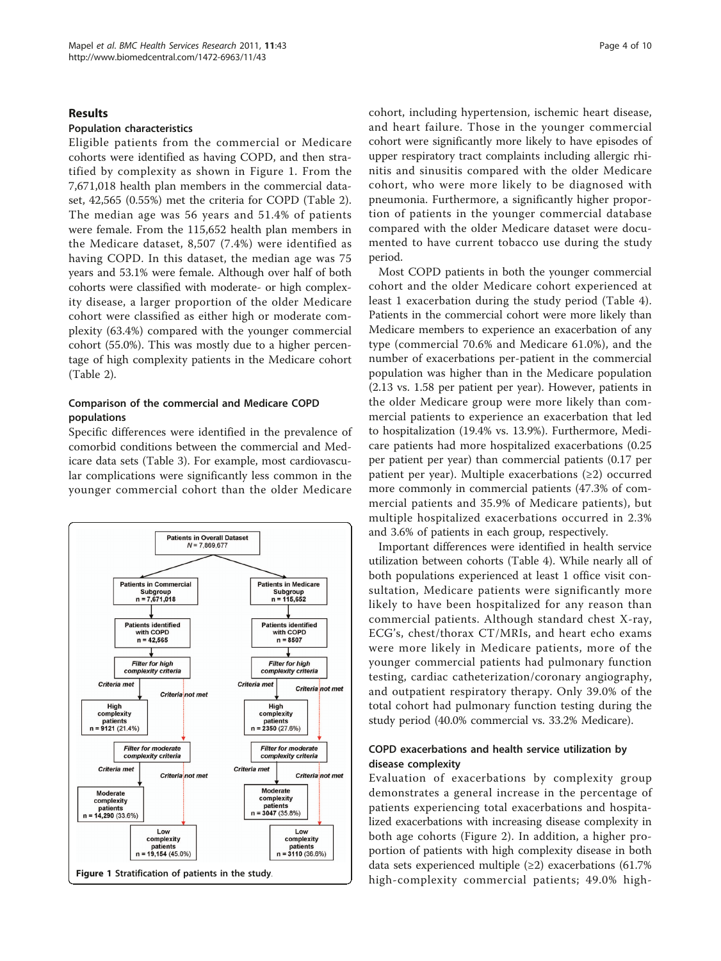## Results

## Population characteristics

Eligible patients from the commercial or Medicare cohorts were identified as having COPD, and then stratified by complexity as shown in Figure 1. From the 7,671,018 health plan members in the commercial dataset, 42,565 (0.55%) met the criteria for COPD (Table [2](#page-4-0)). The median age was 56 years and 51.4% of patients were female. From the 115,652 health plan members in the Medicare dataset, 8,507 (7.4%) were identified as having COPD. In this dataset, the median age was 75 years and 53.1% were female. Although over half of both cohorts were classified with moderate- or high complexity disease, a larger proportion of the older Medicare cohort were classified as either high or moderate complexity (63.4%) compared with the younger commercial cohort (55.0%). This was mostly due to a higher percentage of high complexity patients in the Medicare cohort (Table [2\)](#page-4-0).

## Comparison of the commercial and Medicare COPD populations

Specific differences were identified in the prevalence of comorbid conditions between the commercial and Medicare data sets (Table [3\)](#page-5-0). For example, most cardiovascular complications were significantly less common in the younger commercial cohort than the older Medicare



cohort, including hypertension, ischemic heart disease, and heart failure. Those in the younger commercial cohort were significantly more likely to have episodes of upper respiratory tract complaints including allergic rhinitis and sinusitis compared with the older Medicare cohort, who were more likely to be diagnosed with pneumonia. Furthermore, a significantly higher proportion of patients in the younger commercial database compared with the older Medicare dataset were documented to have current tobacco use during the study period.

Most COPD patients in both the younger commercial cohort and the older Medicare cohort experienced at least 1 exacerbation during the study period (Table [4](#page-5-0)). Patients in the commercial cohort were more likely than Medicare members to experience an exacerbation of any type (commercial 70.6% and Medicare 61.0%), and the number of exacerbations per-patient in the commercial population was higher than in the Medicare population (2.13 vs. 1.58 per patient per year). However, patients in the older Medicare group were more likely than commercial patients to experience an exacerbation that led to hospitalization (19.4% vs. 13.9%). Furthermore, Medicare patients had more hospitalized exacerbations (0.25 per patient per year) than commercial patients (0.17 per patient per year). Multiple exacerbations  $(≥2)$  occurred more commonly in commercial patients (47.3% of commercial patients and 35.9% of Medicare patients), but multiple hospitalized exacerbations occurred in 2.3% and 3.6% of patients in each group, respectively.

Important differences were identified in health service utilization between cohorts (Table [4\)](#page-5-0). While nearly all of both populations experienced at least 1 office visit consultation, Medicare patients were significantly more likely to have been hospitalized for any reason than commercial patients. Although standard chest X-ray, ECG's, chest/thorax CT/MRIs, and heart echo exams were more likely in Medicare patients, more of the younger commercial patients had pulmonary function testing, cardiac catheterization/coronary angiography, and outpatient respiratory therapy. Only 39.0% of the total cohort had pulmonary function testing during the study period (40.0% commercial vs. 33.2% Medicare).

## COPD exacerbations and health service utilization by disease complexity

Evaluation of exacerbations by complexity group demonstrates a general increase in the percentage of patients experiencing total exacerbations and hospitalized exacerbations with increasing disease complexity in both age cohorts (Figure [2](#page-6-0)). In addition, a higher proportion of patients with high complexity disease in both data sets experienced multiple  $(\geq 2)$  exacerbations (61.7%)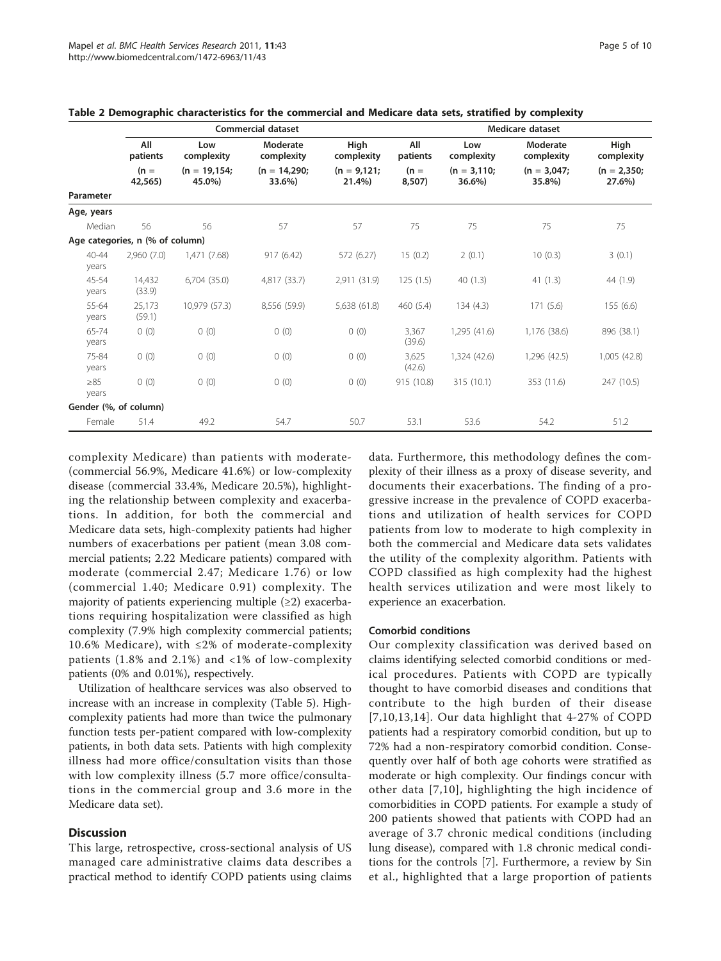|                       | Commercial dataset              |                           |                          |                          | Medicare dataset |                         |                         |                         |
|-----------------------|---------------------------------|---------------------------|--------------------------|--------------------------|------------------|-------------------------|-------------------------|-------------------------|
|                       | All<br>patients                 | Low<br>complexity         | Moderate<br>complexity   | High<br>complexity       | All<br>patients  | Low<br>complexity       | Moderate<br>complexity  | High<br>complexity      |
|                       | $(n =$<br>42,565)               | $(n = 19, 154)$<br>45.0%) | $(n = 14,290;$<br>33.6%) | $(n = 9, 121)$<br>21.4%) | $(n =$<br>8,507) | $(n = 3, 110;$<br>36.6% | $(n = 3,047;$<br>35.8%) | $(n = 2,350;$<br>27.6%) |
| Parameter             |                                 |                           |                          |                          |                  |                         |                         |                         |
| Age, years            |                                 |                           |                          |                          |                  |                         |                         |                         |
| Median                | 56                              | 56                        | 57                       | 57                       | 75               | 75                      | 75                      | 75                      |
|                       | Age categories, n (% of column) |                           |                          |                          |                  |                         |                         |                         |
| $40 - 44$<br>years    | 2,960(7.0)                      | 1,471 (7.68)              | 917(6.42)                | 572 (6.27)               | 15(0.2)          | 2(0.1)                  | 10(0.3)                 | 3(0.1)                  |
| 45-54<br>years        | 14.432<br>(33.9)                | $6,704$ $(35.0)$          | 4,817 (33.7)             | 2,911 (31.9)             | 125(1.5)         | 40(1.3)                 | 41(1.3)                 | 44 (1.9)                |
| 55-64<br>years        | 25,173<br>(59.1)                | 10,979 (57.3)             | 8,556 (59.9)             | 5,638 (61.8)             | 460 (5.4)        | 134(4.3)                | 171(5.6)                | 155(6.6)                |
| 65-74<br>years        | 0(0)                            | 0(0)                      | 0(0)                     | 0(0)                     | 3,367<br>(39.6)  | 1,295(41.6)             | 1,176 (38.6)            | 896 (38.1)              |
| 75-84<br>years        | 0(0)                            | 0(0)                      | 0(0)                     | 0(0)                     | 3,625<br>(42.6)  | 1,324 (42.6)            | 1,296 (42.5)            | 1,005 (42.8)            |
| $\geq 85$<br>years    | 0(0)                            | 0(0)                      | 0(0)                     | 0(0)                     | 915 (10.8)       | 315(10.1)               | 353 (11.6)              | 247 (10.5)              |
| Gender (%, of column) |                                 |                           |                          |                          |                  |                         |                         |                         |
| Female                | 51.4                            | 49.2                      | 54.7                     | 50.7                     | 53.1             | 53.6                    | 54.2                    | 51.2                    |

<span id="page-4-0"></span>

| Table 2 Demographic characteristics for the commercial and Medicare data sets, stratified by complexity |  |  |  |
|---------------------------------------------------------------------------------------------------------|--|--|--|
|---------------------------------------------------------------------------------------------------------|--|--|--|

complexity Medicare) than patients with moderate- (commercial 56.9%, Medicare 41.6%) or low-complexity disease (commercial 33.4%, Medicare 20.5%), highlighting the relationship between complexity and exacerbations. In addition, for both the commercial and Medicare data sets, high-complexity patients had higher numbers of exacerbations per patient (mean 3.08 commercial patients; 2.22 Medicare patients) compared with moderate (commercial 2.47; Medicare 1.76) or low (commercial 1.40; Medicare 0.91) complexity. The majority of patients experiencing multiple  $(\geq 2)$  exacerbations requiring hospitalization were classified as high complexity (7.9% high complexity commercial patients; 10.6% Medicare), with ≤2% of moderate-complexity patients (1.8% and 2.1%) and <1% of low-complexity patients (0% and 0.01%), respectively.

Utilization of healthcare services was also observed to increase with an increase in complexity (Table [5](#page-7-0)). Highcomplexity patients had more than twice the pulmonary function tests per-patient compared with low-complexity patients, in both data sets. Patients with high complexity illness had more office/consultation visits than those with low complexity illness (5.7 more office/consultations in the commercial group and 3.6 more in the Medicare data set).

## **Discussion**

This large, retrospective, cross-sectional analysis of US managed care administrative claims data describes a practical method to identify COPD patients using claims

data. Furthermore, this methodology defines the complexity of their illness as a proxy of disease severity, and documents their exacerbations. The finding of a progressive increase in the prevalence of COPD exacerbations and utilization of health services for COPD patients from low to moderate to high complexity in both the commercial and Medicare data sets validates the utility of the complexity algorithm. Patients with COPD classified as high complexity had the highest health services utilization and were most likely to experience an exacerbation.

#### Comorbid conditions

Our complexity classification was derived based on claims identifying selected comorbid conditions or medical procedures. Patients with COPD are typically thought to have comorbid diseases and conditions that contribute to the high burden of their disease [[7](#page-9-0),[10](#page-9-0),[13](#page-9-0),[14](#page-9-0)]. Our data highlight that 4-27% of COPD patients had a respiratory comorbid condition, but up to 72% had a non-respiratory comorbid condition. Consequently over half of both age cohorts were stratified as moderate or high complexity. Our findings concur with other data [[7](#page-9-0),[10](#page-9-0)], highlighting the high incidence of comorbidities in COPD patients. For example a study of 200 patients showed that patients with COPD had an average of 3.7 chronic medical conditions (including lung disease), compared with 1.8 chronic medical conditions for the controls [\[7](#page-9-0)]. Furthermore, a review by Sin et al., highlighted that a large proportion of patients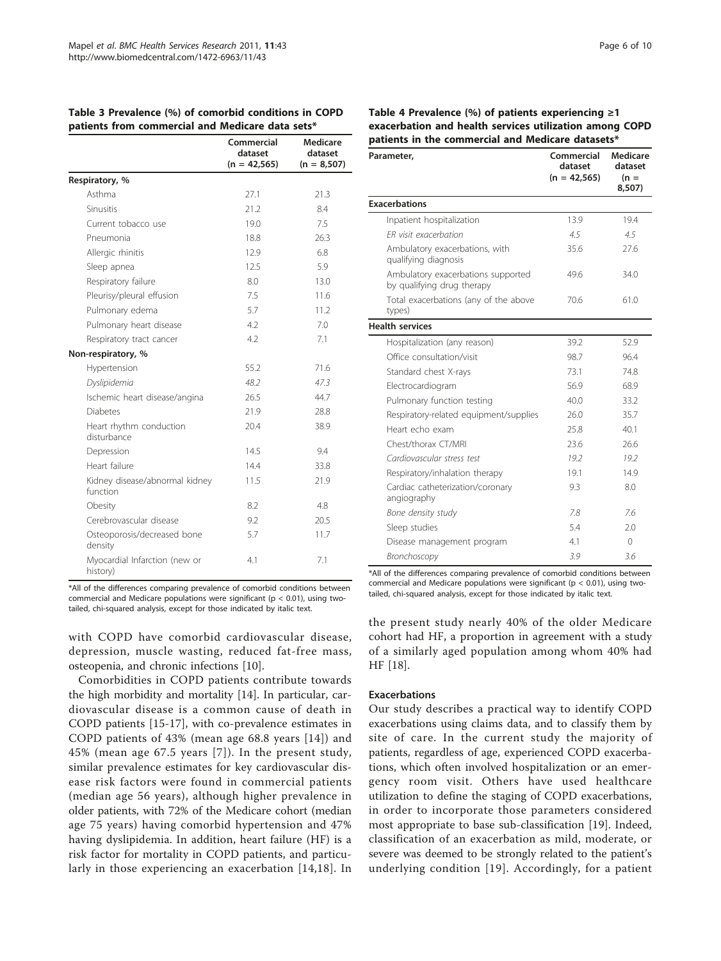<span id="page-5-0"></span>Table 3 Prevalence (%) of comorbid conditions in COPD

| patients from commercial and Medicare data sets* |                                         |                                      |  |  |
|--------------------------------------------------|-----------------------------------------|--------------------------------------|--|--|
|                                                  | Commercial<br>dataset<br>$(n = 42,565)$ | Medicare<br>dataset<br>$(n = 8,507)$ |  |  |
| Respiratory, %                                   |                                         |                                      |  |  |
| Asthma                                           | 27.1                                    | 21.3                                 |  |  |
| Sinusitis                                        | 21.2                                    | 8.4                                  |  |  |
| Current tobacco use                              | 19.0                                    | 7.5                                  |  |  |
| Pneumonia                                        | 18.8                                    | 26.3                                 |  |  |
| Allergic rhinitis                                | 12.9                                    | 6.8                                  |  |  |
| Sleep apnea                                      | 12.5                                    | 5.9                                  |  |  |
| Respiratory failure                              | 8.0                                     | 13.0                                 |  |  |
| Pleurisy/pleural effusion                        | 7.5                                     | 11.6                                 |  |  |
| Pulmonary edema                                  | 5.7                                     | 11.2                                 |  |  |
| Pulmonary heart disease                          | 4.2                                     | 7.0                                  |  |  |
| Respiratory tract cancer                         | 4.2                                     | 7.1                                  |  |  |
| Non-respiratory, %                               |                                         |                                      |  |  |
| Hypertension                                     | 55.2                                    | 71.6                                 |  |  |
| Dyslipidemia                                     | 48.2                                    | 47.3                                 |  |  |
| Ischemic heart disease/angina                    | 26.5                                    | 44.7                                 |  |  |
| <b>Diabetes</b>                                  | 21.9                                    | 28.8                                 |  |  |
| Heart rhythm conduction<br>disturbance           | 20.4                                    | 38.9                                 |  |  |
| Depression                                       | 14.5                                    | 9.4                                  |  |  |
| Heart failure                                    | 14.4                                    | 33.8                                 |  |  |
| Kidney disease/abnormal kidney<br>function       | 11.5                                    | 21.9                                 |  |  |
| Obesity                                          | 8.2                                     | 4.8                                  |  |  |
| Cerebrovascular disease                          | 9.2                                     | 20.5                                 |  |  |
| Osteoporosis/decreased bone<br>density           | 5.7                                     | 11.7                                 |  |  |
| Myocardial Infarction (new or<br>history)        | 4.1                                     | 7.1                                  |  |  |

\*All of the differences comparing prevalence of comorbid conditions between commercial and Medicare populations were significant ( $p < 0.01$ ), using twotailed, chi-squared analysis, except for those indicated by italic text.

with COPD have comorbid cardiovascular disease, depression, muscle wasting, reduced fat-free mass, osteopenia, and chronic infections [\[10](#page-9-0)].

Comorbidities in COPD patients contribute towards the high morbidity and mortality [\[14](#page-9-0)]. In particular, cardiovascular disease is a common cause of death in COPD patients [\[15](#page-9-0)-[17\]](#page-9-0), with co-prevalence estimates in COPD patients of 43% (mean age 68.8 years [[14\]](#page-9-0)) and 45% (mean age 67.5 years [[7](#page-9-0)]). In the present study, similar prevalence estimates for key cardiovascular disease risk factors were found in commercial patients (median age 56 years), although higher prevalence in older patients, with 72% of the Medicare cohort (median age 75 years) having comorbid hypertension and 47% having dyslipidemia. In addition, heart failure (HF) is a risk factor for mortality in COPD patients, and particularly in those experiencing an exacerbation [[14,18](#page-9-0)]. In

| Table 4 Prevalence $(\%)$ of patients experiencing $\geq 1$ |  |
|-------------------------------------------------------------|--|
| exacerbation and health services utilization among COPD     |  |
| patients in the commercial and Medicare datasets*           |  |

| Parameter,                                                       | Commercial<br>dataset<br>$(n = 42,565)$ | Medicare<br>dataset<br>$(n =$<br>8,507) |
|------------------------------------------------------------------|-----------------------------------------|-----------------------------------------|
| <b>Exacerbations</b>                                             |                                         |                                         |
| Inpatient hospitalization                                        | 13.9                                    | 19.4                                    |
| FR visit exacerbation                                            | 4.5                                     | 4.5                                     |
| Ambulatory exacerbations, with<br>qualifying diagnosis           | 35.6                                    | 27.6                                    |
| Ambulatory exacerbations supported<br>by qualifying drug therapy | 49.6                                    | 34.0                                    |
| Total exacerbations (any of the above<br>types)                  | 70.6                                    | 61.0                                    |
| <b>Health services</b>                                           |                                         |                                         |
| Hospitalization (any reason)                                     | 39.2                                    | 52.9                                    |
| Office consultation/visit                                        | 98.7                                    | 96.4                                    |
| Standard chest X-rays                                            | 73.1                                    | 74.8                                    |
| Electrocardiogram                                                | 56.9                                    | 68.9                                    |
| Pulmonary function testing                                       | 40.0                                    | 33.2                                    |
| Respiratory-related equipment/supplies                           | 26.0                                    | 35.7                                    |
| Heart echo exam                                                  | 25.8                                    | 40.1                                    |
| Chest/thorax CT/MRI                                              | 23.6                                    | 26.6                                    |
| Cardiovascular stress test                                       | 19.2                                    | 19.2                                    |
| Respiratory/inhalation therapy                                   | 19.1                                    | 14.9                                    |
| Cardiac catheterization/coronary<br>angiography                  | 9.3                                     | 8.0                                     |
| Bone density study                                               | 7.8                                     | 7.6                                     |
| Sleep studies                                                    | 5.4                                     | 2.0                                     |
| Disease management program                                       | 4.1                                     | $\Omega$                                |
| Bronchoscopy                                                     | 3.9                                     | 3.6                                     |

\*All of the differences comparing prevalence of comorbid conditions between commercial and Medicare populations were significant ( $p < 0.01$ ), using twotailed, chi-squared analysis, except for those indicated by italic text.

the present study nearly 40% of the older Medicare cohort had HF, a proportion in agreement with a study of a similarly aged population among whom 40% had HF [[18\]](#page-9-0).

#### Exacerbations

Our study describes a practical way to identify COPD exacerbations using claims data, and to classify them by site of care. In the current study the majority of patients, regardless of age, experienced COPD exacerbations, which often involved hospitalization or an emergency room visit. Others have used healthcare utilization to define the staging of COPD exacerbations, in order to incorporate those parameters considered most appropriate to base sub-classification [[19](#page-9-0)]. Indeed, classification of an exacerbation as mild, moderate, or severe was deemed to be strongly related to the patient's underlying condition [\[19\]](#page-9-0). Accordingly, for a patient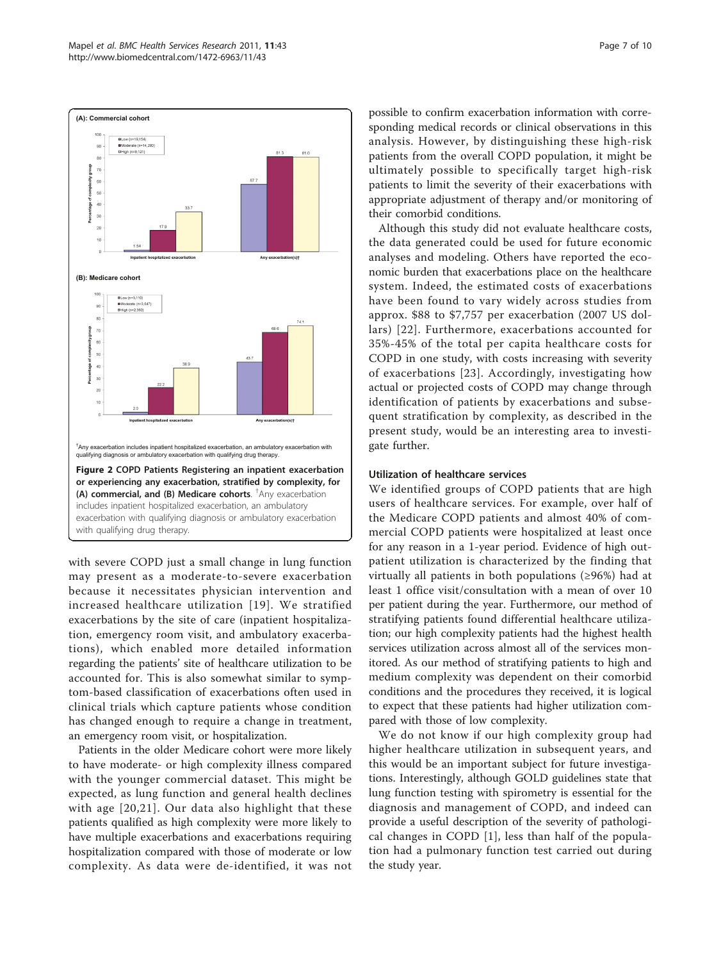<span id="page-6-0"></span>

with severe COPD just a small change in lung function may present as a moderate-to-severe exacerbation because it necessitates physician intervention and increased healthcare utilization [[19](#page-9-0)]. We stratified exacerbations by the site of care (inpatient hospitalization, emergency room visit, and ambulatory exacerbations), which enabled more detailed information regarding the patients' site of healthcare utilization to be accounted for. This is also somewhat similar to symptom-based classification of exacerbations often used in clinical trials which capture patients whose condition has changed enough to require a change in treatment, an emergency room visit, or hospitalization.

Patients in the older Medicare cohort were more likely to have moderate- or high complexity illness compared with the younger commercial dataset. This might be expected, as lung function and general health declines with age [[20,21](#page-9-0)]. Our data also highlight that these patients qualified as high complexity were more likely to have multiple exacerbations and exacerbations requiring hospitalization compared with those of moderate or low complexity. As data were de-identified, it was not

possible to confirm exacerbation information with corresponding medical records or clinical observations in this analysis. However, by distinguishing these high-risk patients from the overall COPD population, it might be ultimately possible to specifically target high-risk patients to limit the severity of their exacerbations with appropriate adjustment of therapy and/or monitoring of their comorbid conditions.

Although this study did not evaluate healthcare costs, the data generated could be used for future economic analyses and modeling. Others have reported the economic burden that exacerbations place on the healthcare system. Indeed, the estimated costs of exacerbations have been found to vary widely across studies from approx. \$88 to \$7,757 per exacerbation (2007 US dollars) [[22\]](#page-9-0). Furthermore, exacerbations accounted for 35%-45% of the total per capita healthcare costs for COPD in one study, with costs increasing with severity of exacerbations [\[23\]](#page-9-0). Accordingly, investigating how actual or projected costs of COPD may change through identification of patients by exacerbations and subsequent stratification by complexity, as described in the present study, would be an interesting area to investigate further.

#### Utilization of healthcare services

We identified groups of COPD patients that are high users of healthcare services. For example, over half of the Medicare COPD patients and almost 40% of commercial COPD patients were hospitalized at least once for any reason in a 1-year period. Evidence of high outpatient utilization is characterized by the finding that virtually all patients in both populations (≥96%) had at least 1 office visit/consultation with a mean of over 10 per patient during the year. Furthermore, our method of stratifying patients found differential healthcare utilization; our high complexity patients had the highest health services utilization across almost all of the services monitored. As our method of stratifying patients to high and medium complexity was dependent on their comorbid conditions and the procedures they received, it is logical to expect that these patients had higher utilization compared with those of low complexity.

We do not know if our high complexity group had higher healthcare utilization in subsequent years, and this would be an important subject for future investigations. Interestingly, although GOLD guidelines state that lung function testing with spirometry is essential for the diagnosis and management of COPD, and indeed can provide a useful description of the severity of pathological changes in COPD [[1](#page-8-0)], less than half of the population had a pulmonary function test carried out during the study year.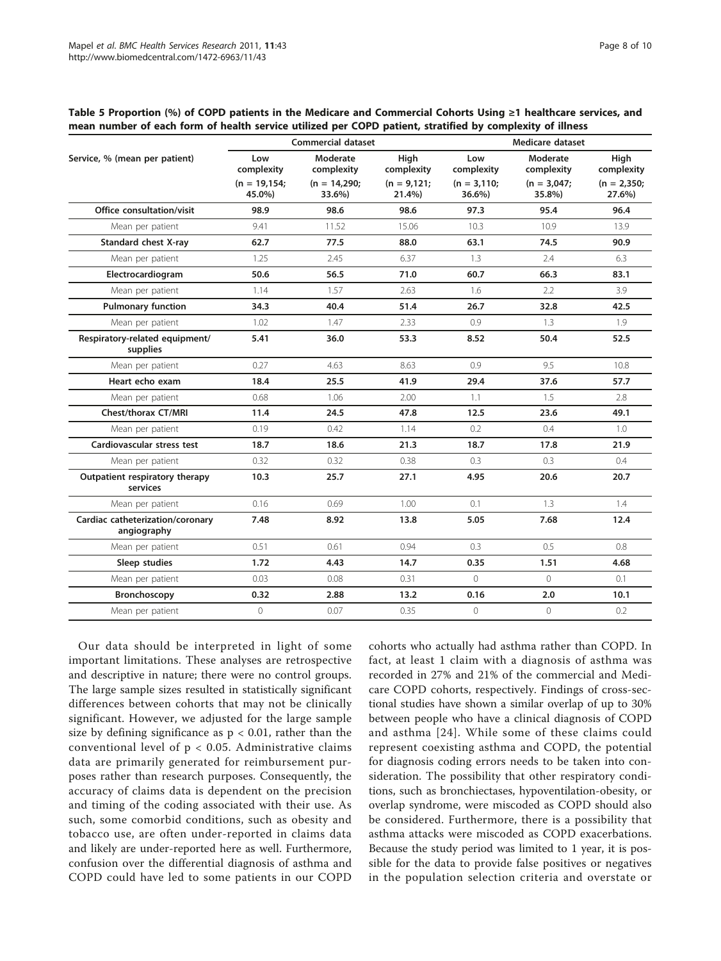<span id="page-7-0"></span>Table 5 Proportion (%) of COPD patients in the Medicare and Commercial Cohorts Using ≥1 healthcare services, and mean number of each form of health service utilized per COPD patient, stratified by complexity of illness

|                                                 |                           | <b>Commercial dataset</b> |                        | Medicare dataset        |                         |                         |  |
|-------------------------------------------------|---------------------------|---------------------------|------------------------|-------------------------|-------------------------|-------------------------|--|
| Service, % (mean per patient)                   | Low<br>complexity         | Moderate<br>complexity    | High<br>complexity     | Low<br>complexity       | Moderate<br>complexity  | High<br>complexity      |  |
|                                                 | $(n = 19, 154)$<br>45.0%) | $(n = 14,290;$<br>33.6%)  | $(n = 9,121;$<br>21.4% | $(n = 3, 110;$<br>36.6% | $(n = 3.047)$<br>35.8%) | $(n = 2,350;$<br>27.6%) |  |
| Office consultation/visit                       | 98.9                      | 98.6                      | 98.6                   | 97.3                    | 95.4                    | 96.4                    |  |
| Mean per patient                                | 9.41                      | 11.52                     | 15.06                  | 10.3                    | 10.9                    | 13.9                    |  |
| <b>Standard chest X-ray</b>                     | 62.7                      | 77.5                      | 88.0                   | 63.1                    | 74.5                    | 90.9                    |  |
| Mean per patient                                | 1.25                      | 2.45                      | 6.37                   | 1.3                     | 2.4                     | 6.3                     |  |
| Electrocardiogram                               | 50.6                      | 56.5                      | 71.0                   | 60.7                    | 66.3                    | 83.1                    |  |
| Mean per patient                                | 1.14                      | 1.57                      | 2.63                   | 1.6                     | 2.2                     | 3.9                     |  |
| <b>Pulmonary function</b>                       | 34.3                      | 40.4                      | 51.4                   | 26.7                    | 32.8                    | 42.5                    |  |
| Mean per patient                                | 1.02                      | 1.47                      | 2.33                   | 0.9                     | 1.3                     | 1.9                     |  |
| Respiratory-related equipment/<br>supplies      | 5.41                      | 36.0                      | 53.3                   | 8.52                    | 50.4                    | 52.5                    |  |
| Mean per patient                                | 0.27                      | 4.63                      | 8.63                   | 0.9                     | 9.5                     | 10.8                    |  |
| Heart echo exam                                 | 18.4                      | 25.5                      | 41.9                   | 29.4                    | 37.6                    | 57.7                    |  |
| Mean per patient                                | 0.68                      | 1.06                      | 2.00                   | 1.1                     | 1.5                     | 2.8                     |  |
| Chest/thorax CT/MRI                             | 11.4                      | 24.5                      | 47.8                   | 12.5                    | 23.6                    | 49.1                    |  |
| Mean per patient                                | 0.19                      | 0.42                      | 1.14                   | 0.2                     | 0.4                     | 1.0                     |  |
| Cardiovascular stress test                      | 18.7                      | 18.6                      | 21.3                   | 18.7                    | 17.8                    | 21.9                    |  |
| Mean per patient                                | 0.32                      | 0.32                      | 0.38                   | 0.3                     | 0.3                     | 0.4                     |  |
| Outpatient respiratory therapy<br>services      | 10.3                      | 25.7                      | 27.1                   | 4.95                    | 20.6                    | 20.7                    |  |
| Mean per patient                                | 0.16                      | 0.69                      | 1.00                   | 0.1                     | 1.3                     | 1.4                     |  |
| Cardiac catheterization/coronary<br>angiography | 7.48                      | 8.92                      | 13.8                   | 5.05                    | 7.68                    | 12.4                    |  |
| Mean per patient                                | 0.51                      | 0.61                      | 0.94                   | 0.3                     | 0.5                     | 0.8                     |  |
| Sleep studies                                   | 1.72                      | 4.43                      | 14.7                   | 0.35                    | 1.51                    | 4.68                    |  |
| Mean per patient                                | 0.03                      | 0.08                      | 0.31                   | $\Omega$                | $\bigcap$               | 0.1                     |  |
| Bronchoscopy                                    | 0.32                      | 2.88                      | 13.2                   | 0.16                    | 2.0                     | 10.1                    |  |
| Mean per patient                                | $\circ$                   | 0.07                      | 0.35                   | $\circ$                 | $\circ$                 | 0.2                     |  |

Our data should be interpreted in light of some important limitations. These analyses are retrospective and descriptive in nature; there were no control groups. The large sample sizes resulted in statistically significant differences between cohorts that may not be clinically significant. However, we adjusted for the large sample size by defining significance as  $p < 0.01$ , rather than the conventional level of  $p < 0.05$ . Administrative claims data are primarily generated for reimbursement purposes rather than research purposes. Consequently, the accuracy of claims data is dependent on the precision and timing of the coding associated with their use. As such, some comorbid conditions, such as obesity and tobacco use, are often under-reported in claims data and likely are under-reported here as well. Furthermore, confusion over the differential diagnosis of asthma and COPD could have led to some patients in our COPD

cohorts who actually had asthma rather than COPD. In fact, at least 1 claim with a diagnosis of asthma was recorded in 27% and 21% of the commercial and Medicare COPD cohorts, respectively. Findings of cross-sectional studies have shown a similar overlap of up to 30% between people who have a clinical diagnosis of COPD and asthma [[24\]](#page-9-0). While some of these claims could represent coexisting asthma and COPD, the potential for diagnosis coding errors needs to be taken into consideration. The possibility that other respiratory conditions, such as bronchiectases, hypoventilation-obesity, or overlap syndrome, were miscoded as COPD should also be considered. Furthermore, there is a possibility that asthma attacks were miscoded as COPD exacerbations. Because the study period was limited to 1 year, it is possible for the data to provide false positives or negatives in the population selection criteria and overstate or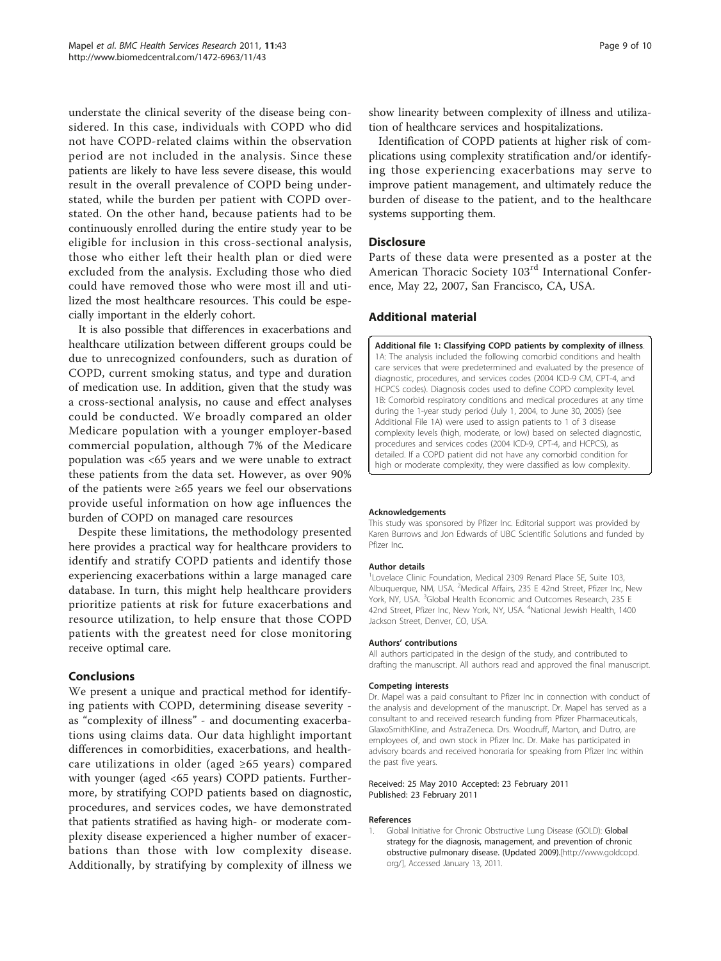<span id="page-8-0"></span>understate the clinical severity of the disease being considered. In this case, individuals with COPD who did not have COPD-related claims within the observation period are not included in the analysis. Since these patients are likely to have less severe disease, this would result in the overall prevalence of COPD being understated, while the burden per patient with COPD overstated. On the other hand, because patients had to be continuously enrolled during the entire study year to be eligible for inclusion in this cross-sectional analysis, those who either left their health plan or died were excluded from the analysis. Excluding those who died could have removed those who were most ill and utilized the most healthcare resources. This could be especially important in the elderly cohort.

It is also possible that differences in exacerbations and healthcare utilization between different groups could be due to unrecognized confounders, such as duration of COPD, current smoking status, and type and duration of medication use. In addition, given that the study was a cross-sectional analysis, no cause and effect analyses could be conducted. We broadly compared an older Medicare population with a younger employer-based commercial population, although 7% of the Medicare population was <65 years and we were unable to extract these patients from the data set. However, as over 90% of the patients were ≥65 years we feel our observations provide useful information on how age influences the burden of COPD on managed care resources

Despite these limitations, the methodology presented here provides a practical way for healthcare providers to identify and stratify COPD patients and identify those experiencing exacerbations within a large managed care database. In turn, this might help healthcare providers prioritize patients at risk for future exacerbations and resource utilization, to help ensure that those COPD patients with the greatest need for close monitoring receive optimal care.

#### **Conclusions**

We present a unique and practical method for identifying patients with COPD, determining disease severity as "complexity of illness" - and documenting exacerbations using claims data. Our data highlight important differences in comorbidities, exacerbations, and healthcare utilizations in older (aged ≥65 years) compared with younger (aged <65 years) COPD patients. Furthermore, by stratifying COPD patients based on diagnostic, procedures, and services codes, we have demonstrated that patients stratified as having high- or moderate complexity disease experienced a higher number of exacerbations than those with low complexity disease. Additionally, by stratifying by complexity of illness we

show linearity between complexity of illness and utilization of healthcare services and hospitalizations.

Identification of COPD patients at higher risk of complications using complexity stratification and/or identifying those experiencing exacerbations may serve to improve patient management, and ultimately reduce the burden of disease to the patient, and to the healthcare systems supporting them.

## **Disclosure**

Parts of these data were presented as a poster at the American Thoracic Society 103<sup>rd</sup> International Conference, May 22, 2007, San Francisco, CA, USA.

## Additional material

[Additional file 1: C](http://www.biomedcentral.com/content/supplementary/1472-6963-11-43-S1.PDF)lassifying COPD patients by complexity of illness. 1A: The analysis included the following comorbid conditions and health care services that were predetermined and evaluated by the presence of diagnostic, procedures, and services codes (2004 ICD-9 CM, CPT-4, and HCPCS codes). Diagnosis codes used to define COPD complexity level. 1B: Comorbid respiratory conditions and medical procedures at any time during the 1-year study period (July 1, 2004, to June 30, 2005) (see Additional File 1A) were used to assign patients to 1 of 3 disease complexity levels (high, moderate, or low) based on selected diagnostic, procedures and services codes (2004 ICD-9, CPT-4, and HCPCS), as detailed. If a COPD patient did not have any comorbid condition for high or moderate complexity, they were classified as low complexity.

#### Acknowledgements

This study was sponsored by Pfizer Inc. Editorial support was provided by Karen Burrows and Jon Edwards of UBC Scientific Solutions and funded by Pfizer Inc.

#### Author details

<sup>1</sup>Lovelace Clinic Foundation, Medical 2309 Renard Place SE, Suite 103 Albuquerque, NM, USA. <sup>2</sup>Medical Affairs, 235 E 42nd Street, Pfizer Inc, New York, NY, USA. <sup>3</sup>Global Health Economic and Outcomes Research, 235 E 42nd Street, Pfizer Inc, New York, NY, USA. <sup>4</sup>National Jewish Health, 1400 Jackson Street, Denver, CO, USA.

#### Authors' contributions

All authors participated in the design of the study, and contributed to drafting the manuscript. All authors read and approved the final manuscript.

#### Competing interests

Dr. Mapel was a paid consultant to Pfizer Inc in connection with conduct of the analysis and development of the manuscript. Dr. Mapel has served as a consultant to and received research funding from Pfizer Pharmaceuticals, GlaxoSmithKline, and AstraZeneca. Drs. Woodruff, Marton, and Dutro, are employees of, and own stock in Pfizer Inc. Dr. Make has participated in advisory boards and received honoraria for speaking from Pfizer Inc within the past five years.

#### Received: 25 May 2010 Accepted: 23 February 2011 Published: 23 February 2011

#### References

Global Initiative for Chronic Obstructive Lung Disease (GOLD): Global strategy for the diagnosis, management, and prevention of chronic obstructive pulmonary disease. (Updated 2009).[\[http://www.goldcopd.](http://www.goldcopd.org/) [org/](http://www.goldcopd.org/)], Accessed January 13, 2011.